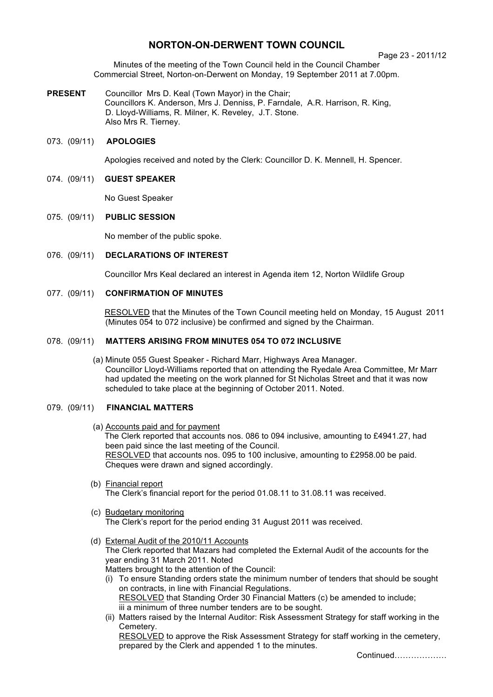# **NORTON-ON-DERWENT TOWN COUNCIL**

#### Page 23 - 2011/12

Minutes of the meeting of the Town Council held in the Council Chamber Commercial Street, Norton-on-Derwent on Monday, 19 September 2011 at 7.00pm.

**PRESENT** Councillor Mrs D. Keal (Town Mayor) in the Chair; Councillors K. Anderson, Mrs J. Denniss, P. Farndale, A.R. Harrison, R. King, D. Lloyd-Williams, R. Milner, K. Reveley, J.T. Stone. Also Mrs R. Tierney.

# 073. (09/11) **APOLOGIES**

Apologies received and noted by the Clerk: Councillor D. K. Mennell, H. Spencer.

### 074. (09/11) **GUEST SPEAKER**

No Guest Speaker

### 075. (09/11) **PUBLIC SESSION**

No member of the public spoke.

### 076. (09/11) **DECLARATIONS OF INTEREST**

Councillor Mrs Keal declared an interest in Agenda item 12, Norton Wildlife Group

### 077. (09/11) **CONFIRMATION OF MINUTES**

 RESOLVED that the Minutes of the Town Council meeting held on Monday, 15 August 2011 (Minutes 054 to 072 inclusive) be confirmed and signed by the Chairman.

### 078. (09/11) **MATTERS ARISING FROM MINUTES 054 TO 072 INCLUSIVE**

(a) Minute 055 Guest Speaker - Richard Marr, Highways Area Manager. Councillor Lloyd-Williams reported that on attending the Ryedale Area Committee, Mr Marr had updated the meeting on the work planned for St Nicholas Street and that it was now scheduled to take place at the beginning of October 2011. Noted.

#### 079. (09/11) **FINANCIAL MATTERS**

- (a) Accounts paid and for payment The Clerk reported that accounts nos. 086 to 094 inclusive, amounting to £4941.27, had been paid since the last meeting of the Council. RESOLVED that accounts nos. 095 to 100 inclusive, amounting to £2958.00 be paid. Cheques were drawn and signed accordingly.
- (b) Financial report The Clerk's financial report for the period 01.08.11 to 31.08.11 was received.
- (c) Budgetary monitoring The Clerk's report for the period ending 31 August 2011 was received.
- (d) External Audit of the 2010/11 Accounts

The Clerk reported that Mazars had completed the External Audit of the accounts for the year ending 31 March 2011. Noted

Matters brought to the attention of the Council:

- (i) To ensure Standing orders state the minimum number of tenders that should be sought on contracts, in line with Financial Regulations. RESOLVED that Standing Order 30 Financial Matters (c) be amended to include; iii a minimum of three number tenders are to be sought.
- (ii) Matters raised by the Internal Auditor: Risk Assessment Strategy for staff working in the Cemetery.

RESOLVED to approve the Risk Assessment Strategy for staff working in the cemetery, prepared by the Clerk and appended 1 to the minutes.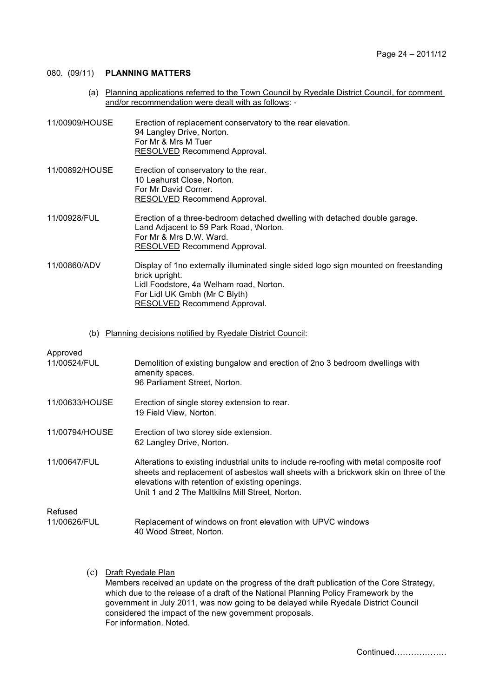### 080. (09/11) **PLANNING MATTERS**

- (a) Planning applications referred to the Town Council by Ryedale District Council, for comment and/or recommendation were dealt with as follows: -
- 11/00909/HOUSE Erection of replacement conservatory to the rear elevation. 94 Langley Drive, Norton. For Mr & Mrs M Tuer RESOLVED Recommend Approval.
- 11/00892/HOUSE Erection of conservatory to the rear. 10 Leahurst Close, Norton. For Mr David Corner. RESOLVED Recommend Approval.
- 11/00928/FUL Erection of a three-bedroom detached dwelling with detached double garage. Land Adjacent to 59 Park Road, \Norton. For Mr & Mrs D.W. Ward. RESOLVED Recommend Approval.
- 11/00860/ADV Display of 1no externally illuminated single sided logo sign mounted on freestanding brick upright. Lidl Foodstore, 4a Welham road, Norton. For Lidl UK Gmbh (Mr C Blyth) RESOLVED Recommend Approval.
	- (b) Planning decisions notified by Ryedale District Council:

#### Approved

| 11/00524/FUL   | Demolition of existing bungalow and erection of 2no 3 bedroom dwellings with<br>amenity spaces.<br>96 Parliament Street, Norton.                                                                                                                                                       |
|----------------|----------------------------------------------------------------------------------------------------------------------------------------------------------------------------------------------------------------------------------------------------------------------------------------|
| 11/00633/HOUSE | Erection of single storey extension to rear.<br>19 Field View, Norton.                                                                                                                                                                                                                 |
| 11/00794/HOUSE | Erection of two storey side extension.<br>62 Langley Drive, Norton.                                                                                                                                                                                                                    |
| 11/00647/FUL   | Alterations to existing industrial units to include re-roofing with metal composite roof<br>sheets and replacement of asbestos wall sheets with a brickwork skin on three of the<br>elevations with retention of existing openings.<br>Unit 1 and 2 The Maltkilns Mill Street, Norton. |
| Refused        |                                                                                                                                                                                                                                                                                        |
| 11/00626/FUL   | Replacement of windows on front elevation with UPVC windows<br>40 Wood Street, Norton.                                                                                                                                                                                                 |

(c) Draft Ryedale Plan

Members received an update on the progress of the draft publication of the Core Strategy, which due to the release of a draft of the National Planning Policy Framework by the government in July 2011, was now going to be delayed while Ryedale District Council considered the impact of the new government proposals. For information. Noted.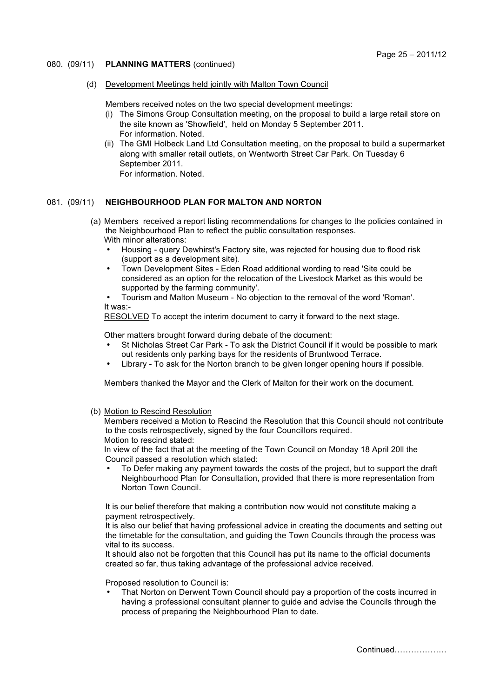#### 080. (09/11) **PLANNING MATTERS** (continued)

(d) Development Meetings held jointly with Malton Town Council

Members received notes on the two special development meetings:

- (i) The Simons Group Consultation meeting, on the proposal to build a large retail store on the site known as 'Showfield', held on Monday 5 September 2011. For information. Noted.
- (ii) The GMI Holbeck Land Ltd Consultation meeting, on the proposal to build a supermarket along with smaller retail outlets, on Wentworth Street Car Park. On Tuesday 6 September 2011. For information. Noted.

# 081. (09/11) **NEIGHBOURHOOD PLAN FOR MALTON AND NORTON**

- (a) Members received a report listing recommendations for changes to the policies contained in the Neighbourhood Plan to reflect the public consultation responses. With minor alterations:
	- Housing query Dewhirst's Factory site, was rejected for housing due to flood risk (support as a development site).
	- Town Development Sites Eden Road additional wording to read 'Site could be considered as an option for the relocation of the Livestock Market as this would be supported by the farming community'.
	- Tourism and Malton Museum No objection to the removal of the word 'Roman'. It was:-

RESOLVED To accept the interim document to carry it forward to the next stage.

Other matters brought forward during debate of the document:

- St Nicholas Street Car Park To ask the District Council if it would be possible to mark out residents only parking bays for the residents of Bruntwood Terrace.
- Library To ask for the Norton branch to be given longer opening hours if possible.

Members thanked the Mayor and the Clerk of Malton for their work on the document.

(b) Motion to Rescind Resolution

 Members received a Motion to Rescind the Resolution that this Council should not contribute to the costs retrospectively, signed by the four Councillors required. Motion to rescind stated:

In view of the fact that at the meeting of the Town Council on Monday 18 April 20ll the

Council passed a resolution which stated:

• To Defer making any payment towards the costs of the project, but to support the draft Neighbourhood Plan for Consultation, provided that there is more representation from Norton Town Council.

It is our belief therefore that making a contribution now would not constitute making a payment retrospectively.

It is also our belief that having professional advice in creating the documents and setting out the timetable for the consultation, and guiding the Town Councils through the process was vital to its success.

It should also not be forgotten that this Council has put its name to the official documents created so far, thus taking advantage of the professional advice received.

Proposed resolution to Council is:

• That Norton on Derwent Town Council should pay a proportion of the costs incurred in having a professional consultant planner to guide and advise the Councils through the process of preparing the Neighbourhood Plan to date.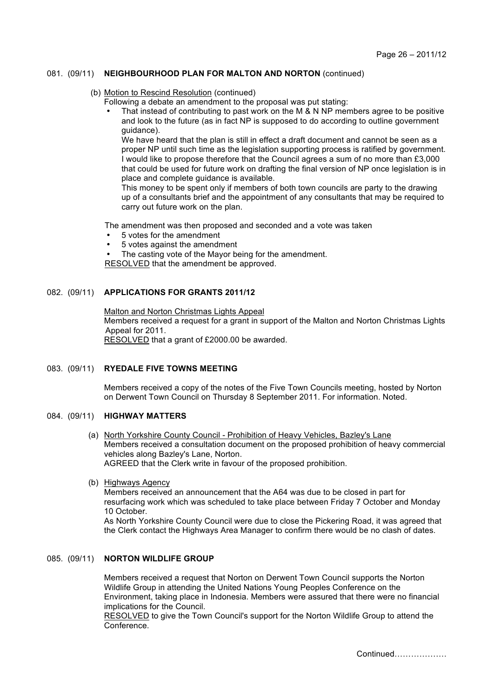#### 081. (09/11) **NEIGHBOURHOOD PLAN FOR MALTON AND NORTON** (continued)

- (b) Motion to Rescind Resolution (continued)
	- Following a debate an amendment to the proposal was put stating:
		- That instead of contributing to past work on the M & N NP members agree to be positive and look to the future (as in fact NP is supposed to do according to outline government quidance).

We have heard that the plan is still in effect a draft document and cannot be seen as a proper NP until such time as the legislation supporting process is ratified by government. I would like to propose therefore that the Council agrees a sum of no more than £3,000 that could be used for future work on drafting the final version of NP once legislation is in place and complete guidance is available.

This money to be spent only if members of both town councils are party to the drawing up of a consultants brief and the appointment of any consultants that may be required to carry out future work on the plan.

The amendment was then proposed and seconded and a vote was taken

- 5 votes for the amendment
- 5 votes against the amendment
- The casting vote of the Mayor being for the amendment.

RESOLVED that the amendment be approved.

# 082. (09/11) **APPLICATIONS FOR GRANTS 2011/12**

Malton and Norton Christmas Lights Appeal Members received a request for a grant in support of the Malton and Norton Christmas Lights Appeal for 2011. RESOLVED that a grant of £2000.00 be awarded.

### 083. (09/11) **RYEDALE FIVE TOWNS MEETING**

Members received a copy of the notes of the Five Town Councils meeting, hosted by Norton on Derwent Town Council on Thursday 8 September 2011. For information. Noted.

#### 084. (09/11) **HIGHWAY MATTERS**

- (a) North Yorkshire County Council Prohibition of Heavy Vehicles, Bazley's Lane Members received a consultation document on the proposed prohibition of heavy commercial vehicles along Bazley's Lane, Norton. AGREED that the Clerk write in favour of the proposed prohibition.
- (b) Highways Agency

Members received an announcement that the A64 was due to be closed in part for resurfacing work which was scheduled to take place between Friday 7 October and Monday 10 October.

As North Yorkshire County Council were due to close the Pickering Road, it was agreed that the Clerk contact the Highways Area Manager to confirm there would be no clash of dates.

# 085. (09/11) **NORTON WILDLIFE GROUP**

Members received a request that Norton on Derwent Town Council supports the Norton Wildlife Group in attending the United Nations Young Peoples Conference on the Environment, taking place in Indonesia. Members were assured that there were no financial implications for the Council.

RESOLVED to give the Town Council's support for the Norton Wildlife Group to attend the Conference.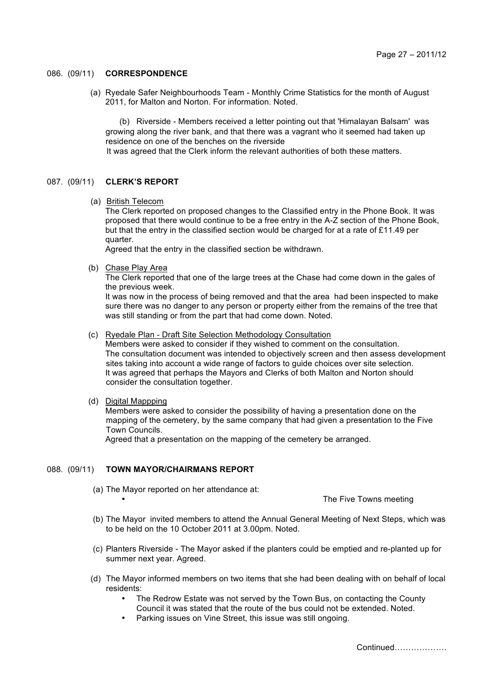#### 086. (09/11) **CORRESPONDENCE**

 (a) Ryedale Safer Neighbourhoods Team - Monthly Crime Statistics for the month of August 2011, for Malton and Norton. For information. Noted.

 (b) Riverside - Members received a letter pointing out that 'Himalayan Balsam' was growing along the river bank, and that there was a vagrant who it seemed had taken up residence on one of the benches on the riverside

It was agreed that the Clerk inform the relevant authorities of both these matters.

#### 087. (09/11) **CLERK'S REPORT**

(a) British Telecom

 The Clerk reported on proposed changes to the Classified entry in the Phone Book. It was proposed that there would continue to be a free entry in the A-Z section of the Phone Book, but that the entry in the classified section would be charged for at a rate of £11.49 per quarter.

Agreed that the entry in the classified section be withdrawn.

(b) Chase Play Area

The Clerk reported that one of the large trees at the Chase had come down in the gales of the previous week.

It was now in the process of being removed and that the area had been inspected to make sure there was no danger to any person or property either from the remains of the tree that was still standing or from the part that had come down. Noted.

(c) Ryedale Plan - Draft Site Selection Methodology Consultation

 Members were asked to consider if they wished to comment on the consultation. The consultation document was intended to objectively screen and then assess development sites taking into account a wide range of factors to guide choices over site selection. It was agreed that perhaps the Mayors and Clerks of both Malton and Norton should consider the consultation together.

(d) Digital Mappping

Members were asked to consider the possibility of having a presentation done on the mapping of the cemetery, by the same company that had given a presentation to the Five Town Councils.

Agreed that a presentation on the mapping of the cemetery be arranged.

#### 088. (09/11) **TOWN MAYOR/CHAIRMANS REPORT**

(a) The Mayor reported on her attendance at:

The Five Towns meeting

- (b) The Mayor invited members to attend the Annual General Meeting of Next Steps, which was to be held on the 10 October 2011 at 3.00pm. Noted.
- (c) Planters Riverside The Mayor asked if the planters could be emptied and re-planted up for summer next year. Agreed.
- (d) The Mayor informed members on two items that she had been dealing with on behalf of local residents:
	- The Redrow Estate was not served by the Town Bus, on contacting the County Council it was stated that the route of the bus could not be extended. Noted.
	- Parking issues on Vine Street, this issue was still ongoing.